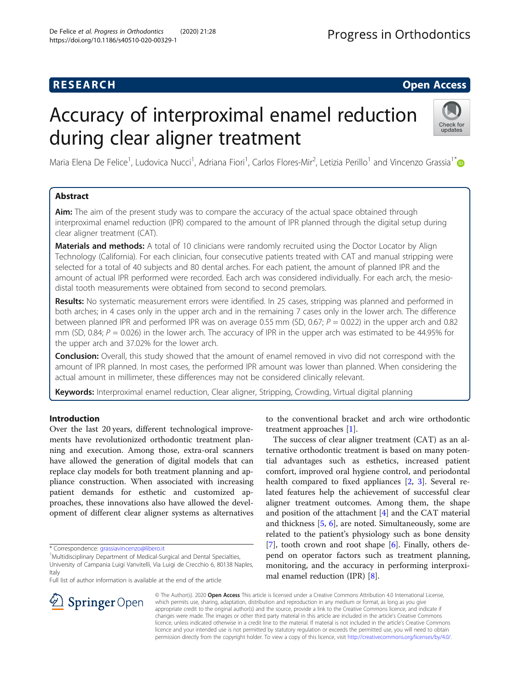## **RESEARCH CHE Open Access**

# Accuracy of interproximal enamel reduction during clear aligner treatment



Maria Elena De Felice<sup>1</sup>, Ludovica Nucci<sup>1</sup>, Adriana Fiori<sup>1</sup>, Carlos Flores-Mir<sup>2</sup>, Letizia Perillo<sup>1</sup> and Vincenzo Grassia<sup>1[\\*](http://orcid.org/0000-0002-6671-2380)</sup>

## Abstract

Aim: The aim of the present study was to compare the accuracy of the actual space obtained through interproximal enamel reduction (IPR) compared to the amount of IPR planned through the digital setup during clear aligner treatment (CAT).

Materials and methods: A total of 10 clinicians were randomly recruited using the Doctor Locator by Align Technology (California). For each clinician, four consecutive patients treated with CAT and manual stripping were selected for a total of 40 subjects and 80 dental arches. For each patient, the amount of planned IPR and the amount of actual IPR performed were recorded. Each arch was considered individually. For each arch, the mesiodistal tooth measurements were obtained from second to second premolars.

Results: No systematic measurement errors were identified. In 25 cases, stripping was planned and performed in both arches; in 4 cases only in the upper arch and in the remaining 7 cases only in the lower arch. The difference between planned IPR and performed IPR was on average 0.55 mm (SD, 0.67;  $P = 0.022$ ) in the upper arch and 0.82 mm (SD, 0.84;  $P = 0.026$ ) in the lower arch. The accuracy of IPR in the upper arch was estimated to be 44.95% for the upper arch and 37.02% for the lower arch.

**Conclusion:** Overall, this study showed that the amount of enamel removed in vivo did not correspond with the amount of IPR planned. In most cases, the performed IPR amount was lower than planned. When considering the actual amount in millimeter, these differences may not be considered clinically relevant.

Keywords: Interproximal enamel reduction, Clear aligner, Stripping, Crowding, Virtual digital planning

## Introduction

Over the last 20 years, different technological improvements have revolutionized orthodontic treatment planning and execution. Among those, extra-oral scanners have allowed the generation of digital models that can replace clay models for both treatment planning and appliance construction. When associated with increasing patient demands for esthetic and customized approaches, these innovations also have allowed the development of different clear aligner systems as alternatives

\* Correspondence: [grassiavincenzo@libero.it](mailto:grassiavincenzo@libero.it) <sup>1</sup>

<sup>1</sup>Multidisciplinary Department of Medical-Surgical and Dental Specialties, University of Campania Luigi Vanvitelli, Via Luigi de Crecchio 6, 80138 Naples, Italy

Full list of author information is available at the end of the article



The success of clear aligner treatment (CAT) as an alternative orthodontic treatment is based on many potential advantages such as esthetics, increased patient comfort, improved oral hygiene control, and periodontal health compared to fixed appliances [[2,](#page-6-0) [3\]](#page-6-0). Several related features help the achievement of successful clear aligner treatment outcomes. Among them, the shape and position of the attachment [\[4](#page-6-0)] and the CAT material and thickness [[5,](#page-6-0) [6\]](#page-6-0), are noted. Simultaneously, some are related to the patient's physiology such as bone density [[7\]](#page-6-0), tooth crown and root shape  $[6]$  $[6]$ . Finally, others depend on operator factors such as treatment planning, monitoring, and the accuracy in performing interproximal enamel reduction (IPR) [[8\]](#page-6-0).



© The Author(s). 2020 Open Access This article is licensed under a Creative Commons Attribution 4.0 International License, which permits use, sharing, adaptation, distribution and reproduction in any medium or format, as long as you give appropriate credit to the original author(s) and the source, provide a link to the Creative Commons licence, and indicate if changes were made. The images or other third party material in this article are included in the article's Creative Commons licence, unless indicated otherwise in a credit line to the material. If material is not included in the article's Creative Commons licence and your intended use is not permitted by statutory regulation or exceeds the permitted use, you will need to obtain permission directly from the copyright holder. To view a copy of this licence, visit <http://creativecommons.org/licenses/by/4.0/>.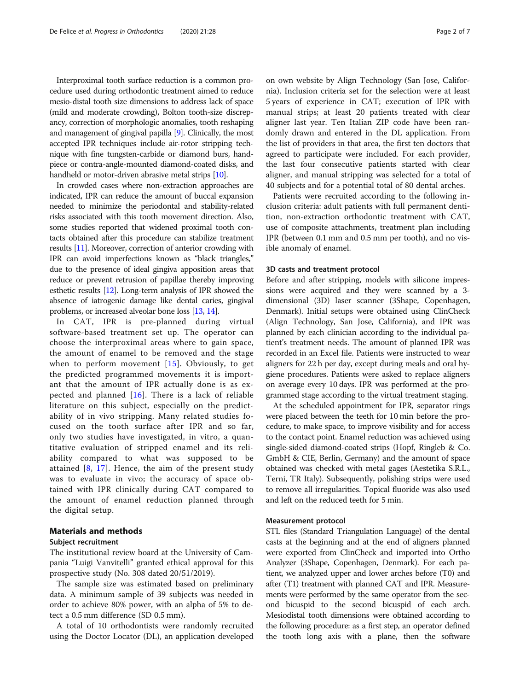Interproximal tooth surface reduction is a common procedure used during orthodontic treatment aimed to reduce mesio-distal tooth size dimensions to address lack of space (mild and moderate crowding), Bolton tooth-size discrepancy, correction of morphologic anomalies, tooth reshaping and management of gingival papilla [\[9\]](#page-6-0). Clinically, the most accepted IPR techniques include air-rotor stripping technique with fine tungsten-carbide or diamond burs, handpiece or contra-angle-mounted diamond-coated disks, and handheld or motor-driven abrasive metal strips [[10](#page-6-0)].

In crowded cases where non-extraction approaches are indicated, IPR can reduce the amount of buccal expansion needed to minimize the periodontal and stability-related risks associated with this tooth movement direction. Also, some studies reported that widened proximal tooth contacts obtained after this procedure can stabilize treatment results [[11](#page-6-0)]. Moreover, correction of anterior crowding with IPR can avoid imperfections known as "black triangles," due to the presence of ideal gingiva apposition areas that reduce or prevent retrusion of papillae thereby improving esthetic results [\[12\]](#page-6-0). Long-term analysis of IPR showed the absence of iatrogenic damage like dental caries, gingival problems, or increased alveolar bone loss [\[13](#page-6-0), [14](#page-6-0)].

In CAT, IPR is pre-planned during virtual software-based treatment set up. The operator can choose the interproximal areas where to gain space, the amount of enamel to be removed and the stage when to perform movement [[15\]](#page-6-0). Obviously, to get the predicted programmed movements it is important that the amount of IPR actually done is as expected and planned [\[16\]](#page-6-0). There is a lack of reliable literature on this subject, especially on the predictability of in vivo stripping. Many related studies focused on the tooth surface after IPR and so far, only two studies have investigated, in vitro, a quantitative evaluation of stripped enamel and its reliability compared to what was supposed to be attained  $[8, 17]$  $[8, 17]$  $[8, 17]$  $[8, 17]$ . Hence, the aim of the present study was to evaluate in vivo; the accuracy of space obtained with IPR clinically during CAT compared to the amount of enamel reduction planned through the digital setup.

#### Materials and methods

#### Subject recruitment

The institutional review board at the University of Campania "Luigi Vanvitelli" granted ethical approval for this prospective study (No. 308 dated 20/51/2019).

The sample size was estimated based on preliminary data. A minimum sample of 39 subjects was needed in order to achieve 80% power, with an alpha of 5% to detect a 0.5 mm difference (SD 0.5 mm).

A total of 10 orthodontists were randomly recruited using the Doctor Locator (DL), an application developed on own website by Align Technology (San Jose, California). Inclusion criteria set for the selection were at least 5 years of experience in CAT; execution of IPR with manual strips; at least 20 patients treated with clear aligner last year. Ten Italian ZIP code have been randomly drawn and entered in the DL application. From the list of providers in that area, the first ten doctors that agreed to participate were included. For each provider, the last four consecutive patients started with clear aligner, and manual stripping was selected for a total of 40 subjects and for a potential total of 80 dental arches.

Patients were recruited according to the following inclusion criteria: adult patients with full permanent dentition, non-extraction orthodontic treatment with CAT, use of composite attachments, treatment plan including IPR (between 0.1 mm and 0.5 mm per tooth), and no visible anomaly of enamel.

#### 3D casts and treatment protocol

Before and after stripping, models with silicone impressions were acquired and they were scanned by a 3 dimensional (3D) laser scanner (3Shape, Copenhagen, Denmark). Initial setups were obtained using ClinCheck (Align Technology, San Jose, California), and IPR was planned by each clinician according to the individual patient's treatment needs. The amount of planned IPR was recorded in an Excel file. Patients were instructed to wear aligners for 22 h per day, except during meals and oral hygiene procedures. Patients were asked to replace aligners on average every 10 days. IPR was performed at the programmed stage according to the virtual treatment staging.

At the scheduled appointment for IPR, separator rings were placed between the teeth for 10 min before the procedure, to make space, to improve visibility and for access to the contact point. Enamel reduction was achieved using single-sided diamond-coated strips (Hopf, Ringleb & Co. GmbH & CIE, Berlin, Germany) and the amount of space obtained was checked with metal gages (Aestetika S.R.L., Terni, TR Italy). Subsequently, polishing strips were used to remove all irregularities. Topical fluoride was also used and left on the reduced teeth for 5 min.

#### Measurement protocol

STL files (Standard Triangulation Language) of the dental casts at the beginning and at the end of aligners planned were exported from ClinCheck and imported into Ortho Analyzer (3Shape, Copenhagen, Denmark). For each patient, we analyzed upper and lower arches before (T0) and after (T1) treatment with planned CAT and IPR. Measurements were performed by the same operator from the second bicuspid to the second bicuspid of each arch. Mesiodistal tooth dimensions were obtained according to the following procedure: as a first step, an operator defined the tooth long axis with a plane, then the software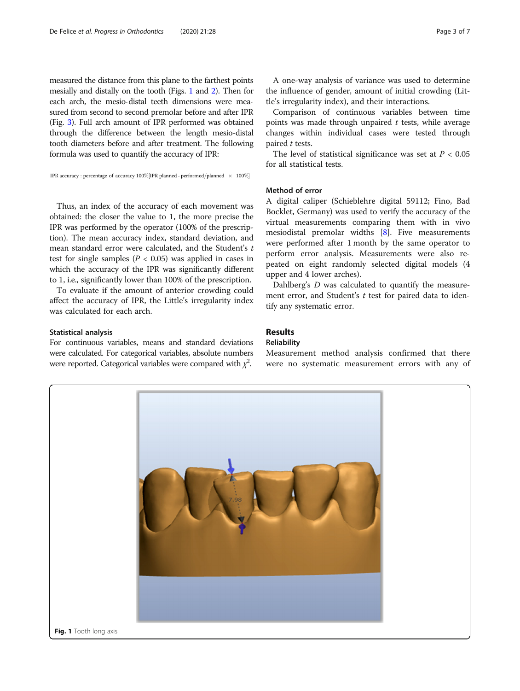measured the distance from this plane to the farthest points mesially and distally on the tooth (Figs. 1 and [2\)](#page-3-0). Then for each arch, the mesio-distal teeth dimensions were measured from second to second premolar before and after IPR (Fig. [3\)](#page-3-0). Full arch amount of IPR performed was obtained through the difference between the length mesio-distal tooth diameters before and after treatment. The following formula was used to quantify the accuracy of IPR:

IPR accuracy : percentage of accuracy  $100\%$  [IPR planned - performed/planned  $\times$  100%]

Thus, an index of the accuracy of each movement was obtained: the closer the value to 1, the more precise the IPR was performed by the operator (100% of the prescription). The mean accuracy index, standard deviation, and mean standard error were calculated, and the Student's t test for single samples ( $P < 0.05$ ) was applied in cases in which the accuracy of the IPR was significantly different to 1, i.e., significantly lower than 100% of the prescription.

To evaluate if the amount of anterior crowding could affect the accuracy of IPR, the Little's irregularity index was calculated for each arch.

#### Statistical analysis

For continuous variables, means and standard deviations were calculated. For categorical variables, absolute numbers were reported. Categorical variables were compared with  $\chi^2$ .

Comparison of continuous variables between time points was made through unpaired  $t$  tests, while average changes within individual cases were tested through paired  $t$  tests.

The level of statistical significance was set at  $P < 0.05$ for all statistical tests.

#### Method of error

A digital caliper (Schieblehre digital 59112; Fino, Bad Bocklet, Germany) was used to verify the accuracy of the virtual measurements comparing them with in vivo mesiodistal premolar widths [[8\]](#page-6-0). Five measurements were performed after 1 month by the same operator to perform error analysis. Measurements were also repeated on eight randomly selected digital models (4 upper and 4 lower arches).

Dahlberg's D was calculated to quantify the measurement error, and Student's  $t$  test for paired data to identify any systematic error.

## Results

#### Reliability

Measurement method analysis confirmed that there were no systematic measurement errors with any of

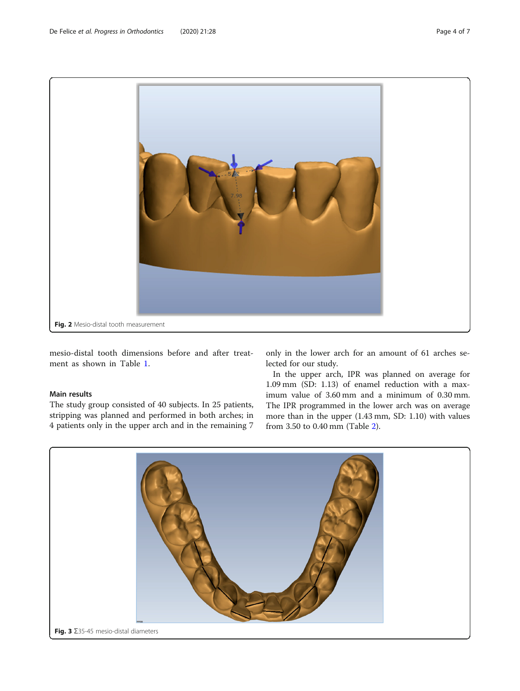<span id="page-3-0"></span>

mesio-distal tooth dimensions before and after treatment as shown in Table [1.](#page-4-0)

#### Main results

The study group consisted of 40 subjects. In 25 patients, stripping was planned and performed in both arches; in 4 patients only in the upper arch and in the remaining 7 only in the lower arch for an amount of 61 arches selected for our study.

In the upper arch, IPR was planned on average for 1.09 mm (SD: 1.13) of enamel reduction with a maximum value of 3.60 mm and a minimum of 0.30 mm. The IPR programmed in the lower arch was on average more than in the upper (1.43 mm, SD: 1.10) with values from 3.50 to 0.40 mm (Table [2\)](#page-4-0).

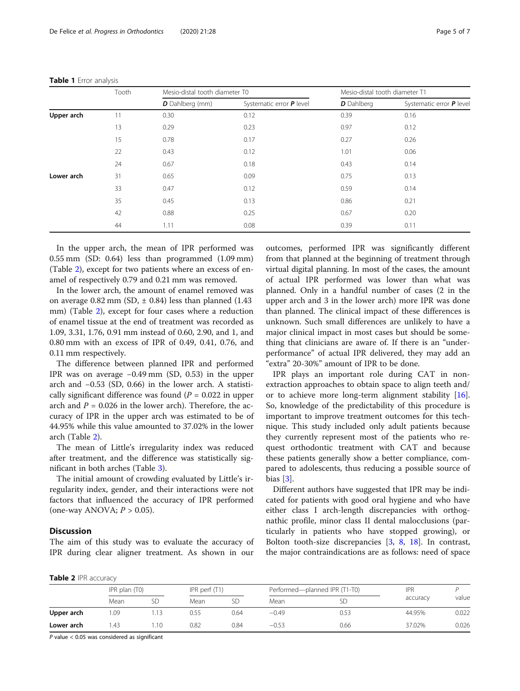|            | Tooth | Mesio-distal tooth diameter T0 |                          | Mesio-distal tooth diameter T1 |                          |  |
|------------|-------|--------------------------------|--------------------------|--------------------------------|--------------------------|--|
|            |       | <b>D</b> Dahlberg (mm)         | Systematic error P level | D Dahlberg                     | Systematic error P level |  |
| Upper arch | 11    | 0.30                           | 0.12                     | 0.39                           | 0.16                     |  |
|            | 13    | 0.29                           | 0.23                     | 0.97                           | 0.12                     |  |
|            | 15    | 0.78                           | 0.17                     | 0.27                           | 0.26                     |  |
|            | 22    | 0.43                           | 0.12                     | 1.01                           | 0.06                     |  |
|            | 24    | 0.67                           | 0.18                     | 0.43                           | 0.14                     |  |
| Lower arch | 31    | 0.65                           | 0.09                     | 0.75                           | 0.13                     |  |
|            | 33    | 0.47                           | 0.12                     | 0.59                           | 0.14                     |  |
|            | 35    | 0.45                           | 0.13                     | 0.86                           | 0.21                     |  |
|            | 42    | 0.88                           | 0.25                     | 0.67                           | 0.20                     |  |
|            | 44    | 1.11                           | 0.08                     | 0.39                           | 0.11                     |  |

<span id="page-4-0"></span>Table 1 Error analysis

In the upper arch, the mean of IPR performed was 0.55 mm (SD: 0.64) less than programmed (1.09 mm) (Table 2), except for two patients where an excess of enamel of respectively 0.79 and 0.21 mm was removed.

In the lower arch, the amount of enamel removed was on average  $0.82$  mm (SD,  $\pm$  0.84) less than planned (1.43) mm) (Table 2), except for four cases where a reduction of enamel tissue at the end of treatment was recorded as 1.09, 3.31, 1.76, 0.91 mm instead of 0.60, 2.90, and 1, and 0.80 mm with an excess of IPR of 0.49, 0.41, 0.76, and 0.11 mm respectively.

The difference between planned IPR and performed IPR was on average −0.49 mm (SD, 0.53) in the upper arch and −0.53 (SD, 0.66) in the lower arch. A statistically significant difference was found ( $P = 0.022$  in upper arch and  $P = 0.026$  in the lower arch). Therefore, the accuracy of IPR in the upper arch was estimated to be of 44.95% while this value amounted to 37.02% in the lower arch (Table 2).

The mean of Little's irregularity index was reduced after treatment, and the difference was statistically significant in both arches (Table [3\)](#page-5-0).

The initial amount of crowding evaluated by Little's irregularity index, gender, and their interactions were not factors that influenced the accuracy of IPR performed (one-way ANOVA;  $P > 0.05$ ).

### **Discussion**

The aim of this study was to evaluate the accuracy of IPR during clear aligner treatment. As shown in our

outcomes, performed IPR was significantly different from that planned at the beginning of treatment through virtual digital planning. In most of the cases, the amount of actual IPR performed was lower than what was planned. Only in a handful number of cases (2 in the upper arch and 3 in the lower arch) more IPR was done than planned. The clinical impact of these differences is unknown. Such small differences are unlikely to have a major clinical impact in most cases but should be something that clinicians are aware of. If there is an "underperformance" of actual IPR delivered, they may add an "extra" 20-30%" amount of IPR to be done.

IPR plays an important role during CAT in nonextraction approaches to obtain space to align teeth and/ or to achieve more long-term alignment stability [\[16](#page-6-0)]. So, knowledge of the predictability of this procedure is important to improve treatment outcomes for this technique. This study included only adult patients because they currently represent most of the patients who request orthodontic treatment with CAT and because these patients generally show a better compliance, compared to adolescents, thus reducing a possible source of bias [[3\]](#page-6-0).

Different authors have suggested that IPR may be indicated for patients with good oral hygiene and who have either class I arch-length discrepancies with orthognathic profile, minor class II dental malocclusions (particularly in patients who have stopped growing), or Bolton tooth-size discrepancies [\[3,](#page-6-0) [8](#page-6-0), [18](#page-6-0)]. In contrast, the major contraindications are as follows: need of space

|  |  |  | Table 2 IPR accuracy |
|--|--|--|----------------------|
|--|--|--|----------------------|

|            | IPR plan $(T0)$ |     | IPR perf $(T1)$ |      | Performed-planned IPR (T1-T0) |           | <b>IPR</b> |       |
|------------|-----------------|-----|-----------------|------|-------------------------------|-----------|------------|-------|
|            | Mean            |     | Mean            | SD   | Mean                          | <b>SD</b> | accuracy   | value |
| Upper arch | .09             | 13  | 0.55            | 0.64 | $-0.49$                       | 0.53      | 44.95%     | 0.022 |
| Lower arch | .43             | .10 | 0.82            | 0.84 | $-0.53$                       | 0.66      | 37.02%     | 0.026 |

P value < 0.05 was considered as significant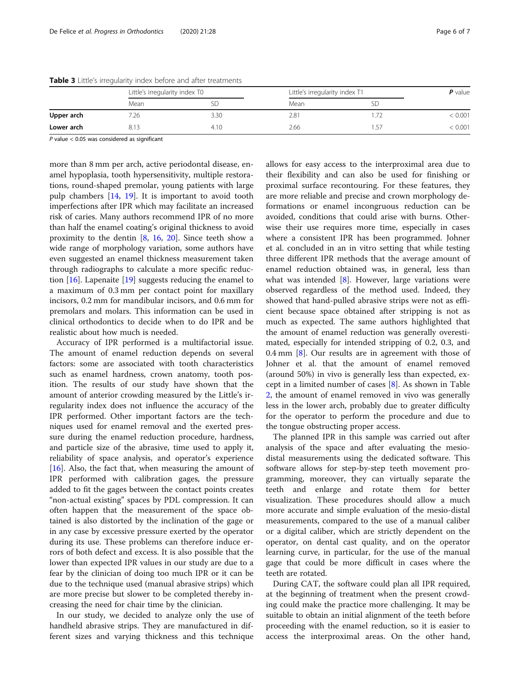|            | Little's irregularity index T0 |        | Little's irregularity index T1 |     | $P$ value |
|------------|--------------------------------|--------|--------------------------------|-----|-----------|
|            | Mean                           |        | Mean                           | ЫL  |           |
| Upper arch | '.26                           | 3.30   | 2.81                           |     | 0.001     |
| Lower arch | 813                            | 4. I C | 2.66                           | -57 | 0.001     |

<span id="page-5-0"></span>Table 3 Little's irregularity index before and after treatments

P value < 0.05 was considered as significant

more than 8 mm per arch, active periodontal disease, enamel hypoplasia, tooth hypersensitivity, multiple restorations, round-shaped premolar, young patients with large pulp chambers [\[14](#page-6-0), [19\]](#page-6-0). It is important to avoid tooth imperfections after IPR which may facilitate an increased risk of caries. Many authors recommend IPR of no more than half the enamel coating's original thickness to avoid proximity to the dentin [[8](#page-6-0), [16,](#page-6-0) [20\]](#page-6-0). Since teeth show a wide range of morphology variation, some authors have even suggested an enamel thickness measurement taken through radiographs to calculate a more specific reduction  $[16]$ . Lapenaite  $[19]$  $[19]$  suggests reducing the enamel to a maximum of 0.3 mm per contact point for maxillary incisors, 0.2 mm for mandibular incisors, and 0.6 mm for premolars and molars. This information can be used in clinical orthodontics to decide when to do IPR and be realistic about how much is needed.

Accuracy of IPR performed is a multifactorial issue. The amount of enamel reduction depends on several factors: some are associated with tooth characteristics such as enamel hardness, crown anatomy, tooth position. The results of our study have shown that the amount of anterior crowding measured by the Little's irregularity index does not influence the accuracy of the IPR performed. Other important factors are the techniques used for enamel removal and the exerted pressure during the enamel reduction procedure, hardness, and particle size of the abrasive, time used to apply it, reliability of space analysis, and operator's experience [ $16$ ]. Also, the fact that, when measuring the amount of IPR performed with calibration gages, the pressure added to fit the gages between the contact points creates "non-actual existing" spaces by PDL compression. It can often happen that the measurement of the space obtained is also distorted by the inclination of the gage or in any case by excessive pressure exerted by the operator during its use. These problems can therefore induce errors of both defect and excess. It is also possible that the lower than expected IPR values in our study are due to a fear by the clinician of doing too much IPR or it can be due to the technique used (manual abrasive strips) which are more precise but slower to be completed thereby increasing the need for chair time by the clinician.

In our study, we decided to analyze only the use of handheld abrasive strips. They are manufactured in different sizes and varying thickness and this technique

allows for easy access to the interproximal area due to their flexibility and can also be used for finishing or proximal surface recontouring. For these features, they are more reliable and precise and crown morphology deformations or enamel incongruous reduction can be avoided, conditions that could arise with burns. Otherwise their use requires more time, especially in cases where a consistent IPR has been programmed. Johner et al. concluded in an in vitro setting that while testing three different IPR methods that the average amount of enamel reduction obtained was, in general, less than what was intended  $[8]$  $[8]$ . However, large variations were observed regardless of the method used. Indeed, they showed that hand-pulled abrasive strips were not as efficient because space obtained after stripping is not as much as expected. The same authors highlighted that the amount of enamel reduction was generally overestimated, especially for intended stripping of 0.2, 0.3, and 0.4 mm  $[8]$  $[8]$ . Our results are in agreement with those of Johner et al. that the amount of enamel removed (around 50%) in vivo is generally less than expected, except in a limited number of cases [\[8\]](#page-6-0). As shown in Table [2,](#page-4-0) the amount of enamel removed in vivo was generally less in the lower arch, probably due to greater difficulty for the operator to perform the procedure and due to the tongue obstructing proper access.

The planned IPR in this sample was carried out after analysis of the space and after evaluating the mesiodistal measurements using the dedicated software. This software allows for step-by-step teeth movement programming, moreover, they can virtually separate the teeth and enlarge and rotate them for better visualization. These procedures should allow a much more accurate and simple evaluation of the mesio-distal measurements, compared to the use of a manual caliber or a digital caliber, which are strictly dependent on the operator, on dental cast quality, and on the operator learning curve, in particular, for the use of the manual gage that could be more difficult in cases where the teeth are rotated.

During CAT, the software could plan all IPR required, at the beginning of treatment when the present crowding could make the practice more challenging. It may be suitable to obtain an initial alignment of the teeth before proceeding with the enamel reduction, so it is easier to access the interproximal areas. On the other hand,